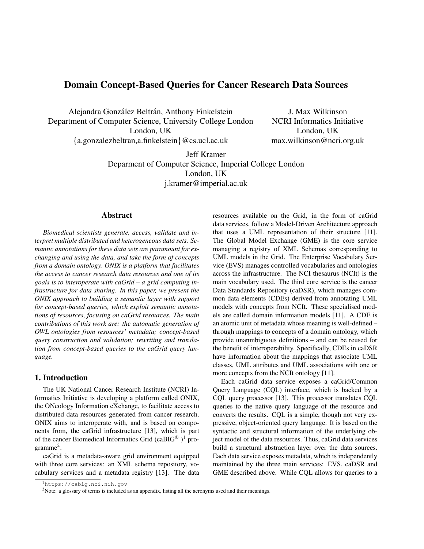# Domain Concept-Based Queries for Cancer Research Data Sources

Alejandra González Beltrán, Anthony Finkelstein Department of Computer Science, University College London London, UK *{*a.gonzalezbeltran,a.finkelstein*}*@cs.ucl.ac.uk

J. Max Wilkinson NCRI Informatics Initiative London, UK max.wilkinson@ncri.org.uk

Jeff Kramer Deparment of Computer Science, Imperial College London London, UK j.kramer@imperial.ac.uk

## Abstract

*Biomedical scientists generate, access, validate and interpret multiple distributed and heterogeneous data sets. Semantic annotations for these data sets are paramount for exchanging and using the data, and take the form of concepts from a domain ontology. ONIX is a platform that facilitates the access to cancer research data resources and one of its goals is to interoperate with caGrid – a grid computing infrastructure for data sharing. In this paper, we present the ONIX approach to building a semantic layer with support for concept-based queries, which exploit semantic annotations of resources, focusing on caGrid resources. The main contributions of this work are: the automatic generation of OWL ontologies from resources' metadata; concept-based query construction and validation; rewriting and translation from concept-based queries to the caGrid query language.*

## 1. Introduction

The UK National Cancer Research Institute (NCRI) Informatics Initiative is developing a platform called ONIX, the ONcology Information eXchange, to facilitate access to distributed data resources generated from cancer research. ONIX aims to interoperate with, and is based on components from, the caGrid infrastructure [13], which is part of the cancer Biomedical Informatics Grid (caBIG<sup>®</sup>)<sup>1</sup> programme2.

caGrid is a metadata-aware grid environment equipped with three core services: an XML schema repository, vocabulary services and a metadata registry [13]. The data resources available on the Grid, in the form of caGrid data services, follow a Model-Driven Architecture approach that uses a UML representation of their structure [11]. The Global Model Exchange (GME) is the core service managing a registry of XML Schemas corresponding to UML models in the Grid. The Enterprise Vocabulary Service (EVS) manages controlled vocabularies and ontologies across the infrastructure. The NCI thesaurus (NCIt) is the main vocabulary used. The third core service is the cancer Data Standards Repository (caDSR), which manages common data elements (CDEs) derived from annotating UML models with concepts from NCIt. These specialised models are called domain information models [11]. A CDE is an atomic unit of metadata whose meaning is well-defined – through mappings to concepts of a domain ontology, which provide unanmbiguous definitions – and can be reused for the benefit of interoperability. Specifically, CDEs in caDSR have information about the mappings that associate UML classes, UML attributes and UML associations with one or more concepts from the NCIt ontology [11].

Each caGrid data service exposes a caGrid/Common Query Language (CQL) interface, which is backed by a CQL query processor [13]. This processor translates CQL queries to the native query language of the resource and converts the results. CQL is a simple, though not very expressive, object-oriented query language. It is based on the syntactic and structural information of the underlying object model of the data resources. Thus, caGrid data services build a structural abstraction layer over the data sources. Each data service exposes metadata, which is independently maintained by the three main services: EVS, caDSR and GME described above. While CQL allows for queries to a

<sup>1</sup>https://cabig.nci.nih.gov

<sup>&</sup>lt;sup>2</sup>Note: a glossary of terms is included as an appendix, listing all the acronyms used and their meanings.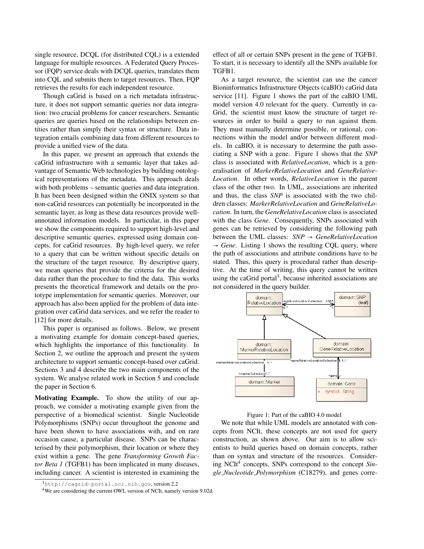single resource, DCQL (for distributed CQL) is a extended language for multiple resources. A Federated Query Processor (FQP) service deals with DCQL queries, translates them into CQL and submits them to target resources. Then, FQP retrieves the results for each independent resource.

Though caGrid is based on a rich metadata infrastructure, it does not support semantic queries nor data integration: two crucial problems for cancer researchers. Semantic queries are queries based on the relationships between entities rather than simply their syntax or structure. Data integration entails combining data from different resources to provide a unified view of the data.

In this paper, we present an approach that extends the caGrid infrastructure with a semantic layer that takes advantage of Semantic Web technologies by building ontological representations of the metadata. This approach deals with both problems – semantic queries and data integration. It has been been designed within the ONIX system so that non-caGrid resources can potentially be incorporated in the semantic layer, as long as these data resources provide wellannotated information models. In particular, in this paper we show the components required to support high-level and descriptive semantic queries, expressed using domain concepts, for caGrid resources. By high-level query, we refer to a query that can be written without specific details on the structure of the target resource. By descriptive query, we mean queries that provide the criteria for the desired data rather than the procedure to find the data. This works presents the theoretical framework and details on the prototype implementation for semantic queries. Moreover, our approach has also been applied for the problem of data integration over caGrid data services, and we refer the reader to [12] for more details.

This paper is organised as follows. Below, we present a motivating example for domain concept-based queries, which highlights the importance of this functionality. In Section 2, we outline the approach and present the system architecture to support semantic concept-based over caGrid. Sections 3 and 4 describe the two main components of the system. We analyse related work in Section 5 and conclude the paper in Section 6.

Motivating Example. To show the utility of our approach, we consider a motivating example given from the perspective of a biomedical scientist. Single Nucleotide Polymorphisms (SNPs) occur throughout the genome and have been shown to have associations with, and on rare occasion cause, a particular disease. SNPs can be characterised by their polymorphism, their location or where they exist within a gene. The gene *Transforming Growth Factor Beta 1* (TGFB1) has been implicated in many diseases, including cancer. A scientist is interested in examining the effect of all or certain SNPs present in the gene of TGFB1. To start, it is necessary to identify all the SNPs available for TGFB1.

As a target resource, the scientist can use the cancer Bioninformatics Infrastructure Objects (caBIO) caGrid data service [11]. Figure 1 shows the part of the caBIO UML model version 4.0 relevant for the query. Currently in ca-Grid, the scientist must know the structure of target resources in order to build a query to run against them. They must manually determine possible, or rational, connections within the model and/or between different models. In caBIO, it is necessary to determine the path associating a SNP with a gene. Figure 1 shows that the *SNP* class is associated with *RelativeLocation*, which is a generalisation of *MarkerRelativeLocation* and *GeneRelative-Location*. In other words, *RelativeLocation* is the parent class of the other two. In UML, associations are inherited and thus, the class *SNP* is associated with the two children classes: *MarkerRelativeLocation* and *GeneRelativeLocation*. In turn, the *GeneRelativeLocation* class is associated with the class *Gene*. Consequently, SNPs associated with genes can be retrieved by considering the following path between the UML classes: *SNP* → *GeneRelativeLocation*  $\rightarrow$  *Gene.* Listing 1 shows the resulting CQL query, where the path of associations and attribute conditions have to be stated. Thus, this query is procedural rather than descriptive. At the time of writing, this query cannot be written using the caGrid portal<sup>3</sup>, because inherited associations are not considered in the query builder.



#### Figure 1: Part of the caBIO 4.0 model

We note that while UML models are annotated with concepts from NCIt, these concepts are not used for query construction, as shown above. Our aim is to allow scientists to build queries based on domain concepts, rather than on syntax and structure of the resources. Considering NCIt<sup>4</sup> concepts, SNPs correspond to the concept *Single Nucleotide Polymorphism* (C18279), and genes corre-

<sup>3</sup>http://cagrid-portal.nci.nih.gov, version 2.2

<sup>&</sup>lt;sup>4</sup>We are considering the current OWL version of NCIt, namely version 9.02d.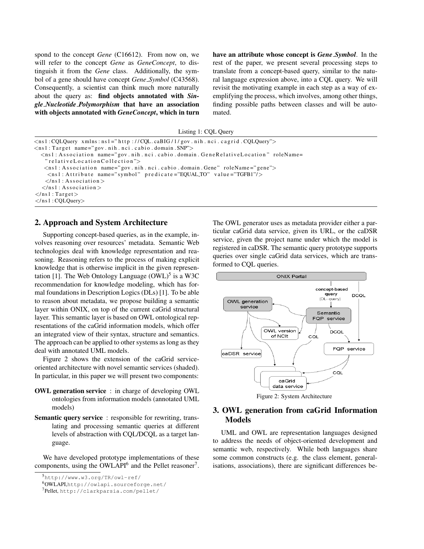spond to the concept *Gene* (C16612). From now on, we will refer to the concept *Gene* as *GeneConcept*, to distinguish it from the *Gene* class. Additionally, the symbol of a gene should have concept *Gene Symbol* (C43568). Consequently, a scientist can think much more naturally about the query as: find objects annotated with *Single Nucleotide Polymorphism* that have an association with objects annotated with *GeneConcept*, which in turn have an attribute whose concept is *Gene Symbol*. In the rest of the paper, we present several processing steps to translate from a concept-based query, similar to the natural language expression above, into a CQL query. We will revisit the motivating example in each step as a way of exemplifying the process, which involves, among other things, finding possible paths between classes and will be automated.

Listing 1: CQL Query

| $\langle$ ns1:CQLQuery xmlns:ns1="http://CQL.caBIG/1/gov.nih.nci.cagrid.CQLQuery">     |  |
|----------------------------------------------------------------------------------------|--|
| $\langle$ ns1: Target name="gov.nih.nci.cabio.domain.SNP">                             |  |
| $\leq$ ns1: Association name="gov.nih.nci.cabio.domain.GeneRelativeLocation" roleName= |  |
| "relativeLocationCollection">                                                          |  |
| $\langle$ ns1: Association name="gov.nih.nci.cabio.domain.Gene" roleName="gene">       |  |
| $\langle$ ns1: Attribute name="symbol" predicate="EQUALTO" value="TGFB1"/>             |  |
| $\langle$ /ns1: Association $>$                                                        |  |
| $\langle$ /ns1: Association $>$                                                        |  |
| $\langle$ /ns1:Target $>$                                                              |  |
| $\langle$ /ns1:CQLQuery>                                                               |  |

### 2. Approach and System Architecture

Supporting concept-based queries, as in the example, involves reasoning over resources' metadata. Semantic Web technologies deal with knowledge representation and reasoning. Reasoning refers to the process of making explicit knowledge that is otherwise implicit in the given representation [1]. The Web Ontology Language  $(OWL)^5$  is a W3C recommendation for knowledge modeling, which has formal foundations in Description Logics (DLs) [1]. To be able to reason about metadata, we propose building a semantic layer within ONIX, on top of the current caGrid structural layer. This semantic layer is based on OWL ontological representations of the caGrid information models, which offer an integrated view of their syntax, structure and semantics. The approach can be applied to other systems as long as they deal with annotated UML models.

Figure 2 shows the extension of the caGrid serviceoriented architecture with novel semantic services (shaded). In particular, in this paper we will present two components:

- OWL generation service : in charge of developing OWL ontologies from information models (annotated UML models)
- Semantic query service : responsible for rewriting, translating and processing semantic queries at different levels of abstraction with CQL/DCQL as a target language.

We have developed prototype implementations of these components, using the OWLAPI $6$  and the Pellet reasoner<sup>7</sup>.

6OWLAPI,http://owlapi.sourceforge.net/

7Pellet, http://clarkparsia.com/pellet/

The OWL generator uses as metadata provider either a particular caGrid data service, given its URL, or the caDSR service, given the project name under which the model is registered in caDSR. The semantic query prototype supports queries over single caGrid data services, which are transformed to CQL queries.



## 3. OWL generation from caGrid Information Models

UML and OWL are representation languages designed to address the needs of object-oriented development and semantic web, respectively. While both languages share some common constructs (e.g. the class element, generalisations, associations), there are significant differences be-

<sup>5</sup>http://www.w3.org/TR/owl-ref/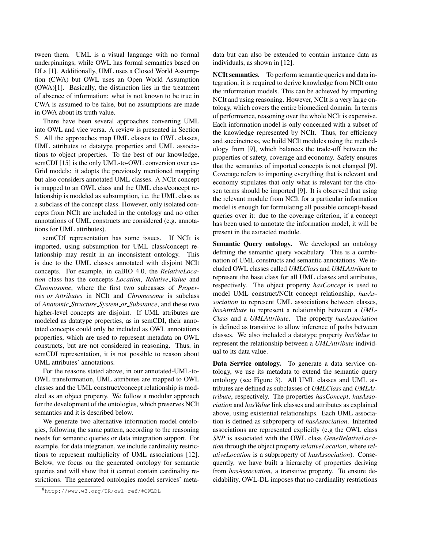tween them. UML is a visual language with no formal underpinnings, while OWL has formal semantics based on DLs [1]. Additionally, UML uses a Closed World Assumption (CWA) but OWL uses an Open World Assumption (OWA)[1]. Basically, the distinction lies in the treatment of absence of information: what is not known to be true in CWA is assumed to be false, but no assumptions are made in OWA about its truth value.

There have been several approaches converting UML into OWL and vice versa. A review is presented in Section 5. All the approaches map UML classes to OWL classes, UML attributes to datatype properties and UML associations to object properties. To the best of our knowledge, semCDI [15] is the only UML-to-OWL conversion over ca-Grid models: it adopts the previously mentioned mapping but also considers annotated UML classes. A NCIt concept is mapped to an OWL class and the UML class/concept relationship is modeled as subsumption, i.e. the UML class as a subclass of the concept class. However, only isolated concepts from NCIt are included in the ontology and no other annotations of UML constructs are considered (e.g. annotations for UML attributes).

semCDI representation has some issues. If NCIt is imported, using subsumption for UML class/concept relationship may result in an inconsistent ontology. This is due to the UML classes annotated with disjoint NCIt concepts. For example, in caBIO 4.0, the *RelativeLocation* class has the concepts *Location*, *Relative Value* and *Chromosome*, where the first two subcasses of *Properties or Attributes* in NCIt and *Chromosome* is subclass of *Anatomic Structure System or Substance*, and these two higher-level concepts are disjoint. If UML attributes are modeled as datatype properties, as in semCDI, their annotated concepts could only be included as OWL annotations properties, which are used to represent metadata on OWL constructs, but are not considered in reasoning. Thus, in semCDI representation, it is not possible to reason about UML attributes' annotations.

For the reasons stated above, in our annotated-UML-to-OWL transformation, UML attributes are mapped to OWL classes and the UML construct/concept relationship is modeled as an object property. We follow a modular approach for the development of the ontologies, which preserves NCIt semantics and it is described below.

We generate two alternative information model ontologies, following the same pattern, according to the reasoning needs for semantic queries or data integration support. For example, for data integration, we include cardinality restrictions to represent multiplicity of UML associations [12]. Below, we focus on the generated ontology for semantic queries and will show that it cannot contain cardinality restrictions. The generated ontologies model services' metadata but can also be extended to contain instance data as individuals, as shown in [12].

NCIt semantics. To perform semantic queries and data integration, it is required to derive knowledge from NCIt onto the information models. This can be achieved by importing NCIt and using reasoning. However, NCIt is a very large ontology, which covers the entire biomedical domain. In terms of performance, reasoning over the whole NCIt is expensive. Each information model is only concerned with a subset of the knowledge represented by NCIt. Thus, for efficiency and succinctness, we build NCIt modules using the methodology from [9], which balances the trade-off between the properties of safety, coverage and economy. Safety ensures that the semantics of imported concepts is not changed [9]. Coverage refers to importing everything that is relevant and economy stipulates that only what is relevant for the chosen terms should be imported [9]. It is observed that using the relevant module from NCIt for a particular information model is enough for formulating all possible concept-based queries over it: due to the coverage criterion, if a concept has been used to annotate the information model, it will be present in the extracted module.

Semantic Query ontology. We developed an ontology defining the semantic query vocabulary. This is a combination of UML constructs and semantic annotations. We included OWL classes called *UMLClass* and *UMLAttribute* to represent the base class for all UML classes and attributes, respectively. The object property *hasConcept* is used to model UML construct/NCIt concept relationship, *hasAssociation* to represent UML associations between classes, *hasAttribute* to represent a relationship between a *UML-Class* and a *UMLAttribute*. The property *hasAssociation* is defined as transitive to allow inference of paths between classes. We also included a datatype property *hasValue* to represent the relationship between a *UMLAttribute* individual to its data value.

Data Service ontology. To generate a data service ontology, we use its metadata to extend the semantic query ontology (see Figure 3). All UML classes and UML attributes are defined as subclasses of *UMLClass* and *UMLAttribute*, respectively. The properties *hasConcept*, *hasAssociation* and *hasValue* link classes and attributes as explained above, using existential relationships. Each UML association is defined as subproperty of *hasAssociation*. Inherited associations are represented explicitly (e.g the OWL class *SNP* is associated with the OWL class *GeneRelativeLocation* through the object property *relativeLocation*, where *relativeLocation* is a subproperty of *hasAssociation*). Consequently, we have built a hierarchy of properties deriving from *hasAssociation*, a transitive property. To ensure decidability, OWL-DL imposes that no cardinality restrictions

<sup>8</sup>http://www.w3.org/TR/owl-ref/#OWLDL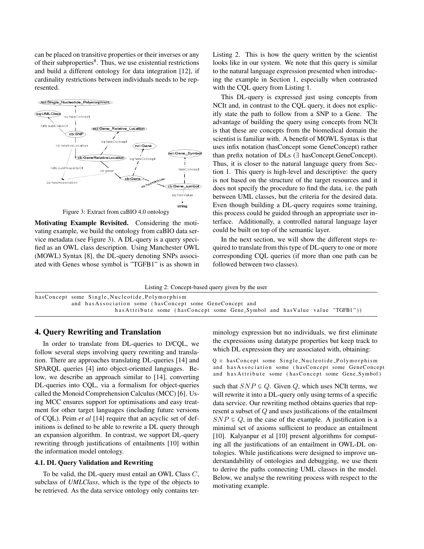can be placed on transitive properties or their inverses or any of their subproperties $8$ . Thus, we use existential restrictions and build a different ontology for data integration [12], if cardinality restrictions between individuals needs to be represented.



Figure 3: Extract from caBIO 4.0 ontology

Motivating Example Revisited. Considering the motivating example, we build the ontology from caBIO data service metadata (see Figure 3). A DL-query is a query specified as an OWL class description. Using Manchester OWL (MOWL) Syntax [8], the DL-query denoting SNPs associated with Genes whose symbol is "TGFB1" is as shown in Listing 2. This is how the query written by the scientist looks like in our system. We note that this query is similar to the natural language expression presented when introducing the example in Section 1, especially when contrasted with the CQL query from Listing 1.

This DL-query is expressed just using concepts from NCIt and, in contrast to the CQL query, it does not explicitly state the path to follow from a SNP to a Gene. The advantage of building the query using concepts from NCIt is that these are concepts from the biomedical domain the scientist is familiar with. A benefit of MOWL Syntax is that uses infix notation (hasConcept some GeneConcept) rather than prefix notation of DLs (∃ hasConcept.GeneConcept). Thus, it is closer to the natural language query from Section 1. This query is high-level and descriptive: the query is not based on the structure of the target resources and it does not specify the procedure to find the data, i.e. the path between UML classes, but the criteria for the desired data. Even though building a DL-query requires some training, this process could be guided through an appropriate user interface. Additionally, a controlled natural language layer could be built on top of the semantic layer.

In the next section, we will show the different steps required to translate from this type of DL-query to one or more corresponding CQL queries (if more than one path can be followed between two classes).

Listing 2: Concept-based query given by the user

has Concept some Single\_Nucleotide\_Polymorphism and has Association some (has Concept some GeneConcept and has Attribute some (has Concept some Gene Symbol and has Value value "TGFB1"))

### 4. Query Rewriting and Translation

In order to translate from DL-queries to D/CQL, we follow several steps involving query rewriting and translation. There are approaches translating DL-queries [14] and SPARQL queries [4] into object-oriented languages. Below, we describe an approach similar to [14], converting DL-queries into CQL, via a formalism for object-queries called the Monoid Comprehension Calculus (MCC) [6]. Using MCC ensures support for optimisations and easy treatment for other target languages (including future versions of CQL). Peim *et al* [14] require that an acyclic set of definitions is defined to be able to rewrite a DL query through an expansion algorithm. In contrast, we support DL-query rewriting through justifications of entailments [10] within the information model ontology.

### 4.1. DL Query Validation and Rewriting

To be valid, the DL-query must entail an OWL Class *C*, subclass of *UMLClass*, which is the type of the objects to be retrieved. As the data service ontology only contains terminology expression but no individuals, we first eliminate the expressions using datatype properties but keep track to which DL expression they are associated with, obtaining:

 $Q \equiv$  has Concept some Single\_Nucleotide\_Polymorphism and has Association some (has Concept some GeneConcept and has Attribute some (has Concept some Gene\_Symbol)

such that  $SNP \subseteq Q$ . Given  $Q$ , which uses NCIt terms, we will rewrite it into a DL-query only using terms of a specific data service. Our rewriting method obtains queries that represent a subset of *Q* and uses justifications of the entailment  $SNP \n\subseteq Q$ , in the case of the example. A justification is a minimal set of axioms sufficient to produce an entailment [10]. Kalyanpur et al [10] present algorithms for computing all the justifications of an entailment in OWL-DL ontologies. While justifications were designed to improve understandability of ontologies and debugging, we use them to derive the paths connecting UML classes in the model. Below, we analyse the rewriting process with respect to the motivating example.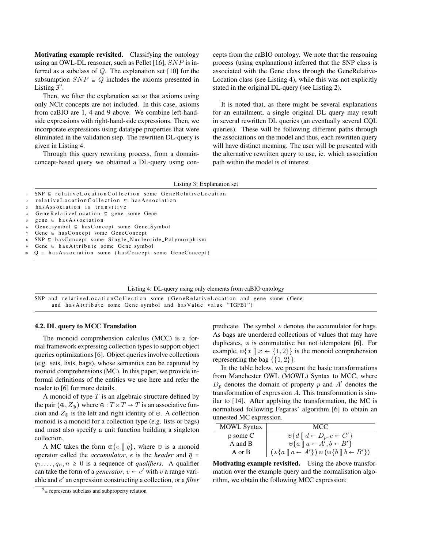Motivating example revisited. Classifying the ontology using an OWL-DL reasoner, such as Pellet [16], *SNP* is inferred as a subclass of *Q*. The explanation set [10] for the subsumption  $SNP \subseteq Q$  includes the axioms presented in Listing  $3^9$ .

Then, we filter the explanation set so that axioms using only NCIt concepts are not included. In this case, axioms from caBIO are 1, 4 and 9 above. We combine left-handside expressions with right-hand-side expressions. Then, we incorporate expressions using datatype properties that were eliminated in the validation step. The rewritten DL-query is given in Listing 4.

Through this query rewriting process, from a domainconcept-based query we obtained a DL-query using concepts from the caBIO ontology. We note that the reasoning process (using explanations) inferred that the SNP class is associated with the Gene class through the GeneRelative-Location class (see Listing 4), while this was not explicitly stated in the original DL-query (see Listing 2).

It is noted that, as there might be several explanations for an entailment, a single original DL query may result in several rewritten DL queries (an eventually several CQL queries). These will be following different paths through the associations on the model and thus, each rewritten query will have distinct meaning. The user will be presented with the alternative rewritten query to use, ie. which association path within the model is of interest.

| $m_{\rm F}$ $\sim$ . $m_{\rm F}$ $\sim$ $m_{\rm F}$ $\sim$ $\sim$ $\sim$ $\sim$ |
|---------------------------------------------------------------------------------|
| $\sim$ SNP $\equiv$ relative Location Collection some Gene Relative Location    |
| $\alpha$ relative Location Collection $\epsilon$ has Association                |
| 3 has Association is transitive                                                 |
| 4 GeneRelativeLocation $\subseteq$ gene some Gene                               |
| $5 \text{ gene } \equiv \text{hasAssociation}$                                  |
| 6 Gene-symbol $\subseteq$ has Concept some Gene-Symbol                          |
| 7 Gene $\subseteq$ has Concept some Gene Concept                                |
| $\text{s}$ SNP $\text{ } \in$ has Concept some Single-Nucleotide-Polymorphism   |
| $\circ$ Gene $\subseteq$ has Attribute some Gene_symbol                         |
| $Q \equiv$ has Association some (has Concept some GeneConcept)                  |
|                                                                                 |
|                                                                                 |

Listing 4: DL-query using only elements from caBIO ontology

SNP and relativeLocationCollection some (GeneRelativeLocation and gene some (Gene and has Attribute some Gene\_symbol and has Value value "TGFB1")

#### 4.2. DL query to MCC Translation

The monoid comprehension calculus (MCC) is a formal framework expressing collection types to support object queries optimizations [6]. Object queries involve collections (e.g. sets, lists, bags), whose semantics can be captured by monoid comprehensions (MC). In this paper, we provide informal definitions of the entities we use here and refer the reader to [6] for more details.

A monoid of type *T* is an algebraic structure defined by the pair  $(\oplus, Z_{\oplus})$  where  $\oplus : T \times T \to T$  is an associative funcion and  $Z_{\oplus}$  is the left and right identity of  $\oplus$ . A collection monoid is a monoid for a collection type (e.g. lists or bags) and must also specify a unit function building a singleton collection.

A MC takes the form  $\oplus \{e \mid \overline{q}\}$ , where  $\oplus$  is a monoid operator called the *accumulator*, *e* is the *header* and  $\overline{q}$  =  $q_1, \ldots, q_n, n \geq 0$  is a sequence of *qualifiers*. A qualifier can take the form of a *generator*,  $v \leftarrow e'$  with *v* a range variable and *e*′ an expression constructing a collection, or a *filter* predicate. The symbol ⊎ denotes the accumulator for bags. As bags are unordered collections of values that may have duplicates, ⊎ is commutative but not idempotent [6]. For example,  $\forall \{x \mid x \leftarrow \{1,2\}\}\$ is the monoid comprehension representing the bag  $\{\{1,2\}\}.$ 

In the table below, we present the basic transformations from Manchester OWL (MOWL) Syntax to MCC, where  $D_p$  denotes the domain of property  $p$  and  $A'$  denotes the transformation of expression *A*. This transformation is similar to [14]. After applying the transformation, the MC is normalised following Fegaras' algorithm [6] to obtain an unnested MC expression.

| <b>MOWL</b> Syntax | MCC.                                                                           |
|--------------------|--------------------------------------------------------------------------------|
| p some C           | $\biguplus \{d \mid d \leftarrow D_p, c \leftarrow C'\}$                       |
| A and B            | $\biguplus \{a \mid a \leftarrow A', b \leftarrow B'\}$                        |
| A or B             | $(\uplus {a \mid a \leftarrow A'} ) \uplus (\uplus {b \mid b \leftarrow B'} )$ |

Motivating example revisited. Using the above transformation over the example query and the normalisation algorithm, we obtain the following MCC expression:

<sup>9</sup><sup>⊑</sup> represents subclass and subproperty relation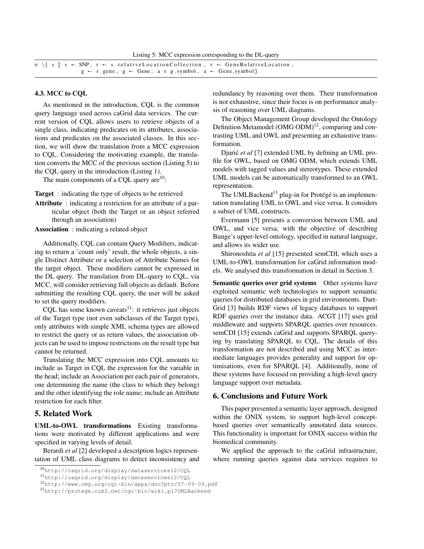Listing 5: MCC expression corresponding to the DL-query

| $\forall$ $\{ s \mid s \leftarrow SNP, r \leftarrow s.\text{relativeLocationCollection}, r \leftarrow GeneRelativeLocation,$ |  |
|------------------------------------------------------------------------------------------------------------------------------|--|
| $g \leftarrow r$ gene, $g \leftarrow$ Gene, $a \equiv g$ symbol, $a \leftarrow$ Gene symbol}                                 |  |

#### 4.3. MCC to CQL

As mentioned in the introduction, CQL is the common query language used across caGrid data services. The current version of CQL allows users to retrieve objects of a single class, indicating predicates on its attributes, associations and predicates on the associated classes. In this section, we will show the translation from a MCC expression to CQL. Considering the motivating example, the translation converts the MCC of the previous section (Listing 5) to the CQL query in the introduction (Listing 1).

The main components of a CQL query are $10$ :

Target : indicating the type of objects to be retrieved

Attribute : indicating a restriction for an attribute of a particular object (both the Target or an object referred through an association)

Association : indicating a related object

Additionally, CQL can contain Query Modifiers, indicating to return a 'count only' result, the whole objects, a single Distinct Attribute or a selection of Attribute Names for the target object. These modifiers cannot be expressed in the DL query. The translation from DL-query to CQL, via MCC, will consider retrieving full objects as default. Before submitting the resulting CQL query, the user will be asked to set the query modifiers.

CQL has some known caveats<sup>11</sup>: it retrieves just objects of the Target type (not even subclasses of the Target type), only attributes with simple XML schema types are allowed to restrict the query or as return values, the association objects can be used to impose restrictions on the result type but cannot be returned.

Translating the MCC expression into CQL amounts to: include as Target in CQL the expression for the variable in the head; include an Association per each pair of generators, one determining the name (the class to which they belong) and the other identifying the role name; include an Attribute restriction for each filter.

## 5. Related Work

UML-to-OWL transformations Existing transformations were motivated by different applications and were specified in varying levels of detail.

Berardi *et al* [2] developed a description logics representation of UML class diagrams to detect inconsistency and redundancy by reasoning over them. Their transformation is not exhaustive, since their focus is on performance analysis of reasoning over UML diagrams.

The Object Management Group developed the Ontology Definition Metamodel  $(OMG ODM)^{12}$ , comparing and contrasting UML and OWL and presenting an exhaustive transformation.

Djurić et al [7] extended UML by defining an UML profile for OWL, based on OMG ODM, which extends UML models with tagged values and stereotypes. These extended UML models can be automatically transformed to an OWL representation.

The UMLBackend<sup>13</sup> plug-in for Protégé is an implementation translating UML to OWL and vice versa. It considers a subset of UML constructs.

Evermann [5] presents a conversion between UML and OWL, and vice versa, with the objective of describing Bunge's upper-level ontology, specified in natural language, and allows its wider use.

Shironoshita *et al* [15] presented semCDI, which uses a UML-to-OWL transformation for caGrid information models. We analysed this transformation in detail in Section 3.

Semantic queries over grid systems Other systems have exploited semantic web technologies to support semantic queries for distributed databases in grid environments. Dart-Grid [3] builds RDF views of legacy databases to support RDF queries over the instance data. ACGT [17] uses grid middleware and supports SPARQL queries over resources. semCDI [15] extends caGrid and supports SPARQL querying by translating SPARQL to CQL. The details of this transformation are not described and using MCC as intermediate languages provides generality and support for optimisations, even for SPARQL [4]. Additionally, none of these systems have focused on providing a high-level query language support over metadata.

### 6. Conclusions and Future Work

This paper presented a semantic layer approach, designed within the ONIX system, to support high-level conceptbased queries over semantically annotated data sources. This functionality is important for ONIX success within the biomedical community.

We applied the approach to the caGrid infrastructure, where running queries against data services requires to

<sup>10</sup>http://cagrid.org/display/dataservices12/CQL

<sup>11</sup>http://cagrid.org/display/dataservices12/CQL

<sup>12</sup>http://www.omg.org/cgi-bin/apps/doc?ptc/07-09-09.pdf

<sup>13</sup>http://protege.cim3.net/cgi-bin/wiki.pl?UMLBackend